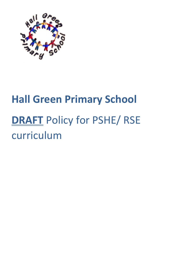

# **Hall Green Primary School DRAFT** Policy for PSHE/ RSE curriculum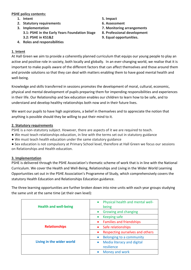## **PSHE policy contents:**

- **1. Intent 5. Impact**
- **2. Statutory requirements 6. Assessment**
- **3. Implementation 3.1: PSHE in the Early Years Foundation Stage 3.2: PSHE in KS1&2**
- **4. Roles and responsibilities**

- 
- **7. Monitoring arrangements**
- **8. Professional development**
- **9. Equal opportunities.**

## **1. Intent**

At Hall Green we aim to provide a coherently planned curriculum that equips our young people to play an active and positive role in society, both locally and globally. In an ever-changing world, we realise that it is important to make pupils aware of the different factors that can affect themselves and those around them and provide solutions so that they can deal with matters enabling them to have good mental health and well-being.

Knowledge and skills transferred in sessions promotes the development of moral, cultural, economic, physical and mental development of pupils preparing them for impending responsibilities and experiences in their life. Our Relationship and Sex education enables our children to learn how to be safe, and to understand and develop healthy relationships both now and in their future lives.

We want our pupils to have high aspirations, a belief in themselves and to appreciate the notion that anything is possible should they be willing to put their mind to it.

## **2. Statutory requirements**

PSHE is a non-statutory subject. However, there are aspects of it we are required to teach.

- We must teach relationships education, in line with the terms set out in statutory guidance
- We must teach health education under the same statutory guidance

● Sex education is not compulsory at Primary School level, therefore at Hall Green we focus our sessions on Relationships and Health education.

## **3. Implementation**

PSHE is delivered through the PSHE Association's thematic scheme of work that is in line with the National Curriculum. We cover the Health and Well-Being, Relationships and Living in the Wider World Learning Opportunities set out in the PSHE Association's Programme of Study, which comprehensively covers the statutory Health Education and Relationships Education guidance.

The three learning opportunities are further broken down into nine units with each year groups studying the same unit at the same time (at their own level):

| <b>Health and well-being</b> | Physical health and mental well-<br>$\bullet$<br>being |
|------------------------------|--------------------------------------------------------|
|                              | Growing and changing<br>$\bullet$                      |
|                              | <b>Keeping safe</b><br>$\bullet$                       |
|                              | <b>Families and friendships</b><br>$\bullet$           |
| <b>Relationships</b>         | Safe relationships<br>$\bullet$                        |
|                              | Respecting ourselves and others<br>$\bullet$           |
|                              | Belonging to a community<br>$\bullet$                  |
| Living in the wider world    | Media literacy and digital<br>$\bullet$                |
|                              | resilience                                             |
|                              | Money and work                                         |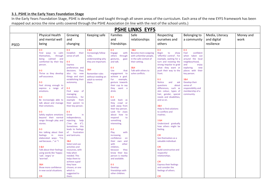## **3.1. PSHE in the Early Years Foundation Stage**

In the Early Years Foundation Stage, PSHE is developed and taught through all seven areas of the curriculum. Each area of the new EYFS framework has been mapped out across the nine units covered through the PSHE Association (in line with the rest of the school units.)

| <b>PSHE LINKS EYFS</b> |                                                     |                                   |                               |                                         |                                                        |                                                        |                                     |                 |           |
|------------------------|-----------------------------------------------------|-----------------------------------|-------------------------------|-----------------------------------------|--------------------------------------------------------|--------------------------------------------------------|-------------------------------------|-----------------|-----------|
|                        | <b>Physical Health</b>                              | Growing                           | Keeping safe                  | Families                                | Safe                                                   | Respecting                                             | Belonging to                        | Media, Literacy | Money and |
|                        | and mental well                                     | and                               |                               | and                                     | relationships                                          | ourselves and                                          | a community                         | and digital     | work      |
|                        | being                                               | changing                          |                               | friendships                             |                                                        | others                                                 |                                     | resilience      |           |
| <b>PSED</b>            |                                                     |                                   |                               |                                         |                                                        |                                                        |                                     |                 |           |
|                        | $0 - 3$                                             | $0 - 3$                           | 3 & 4                         | $0 - 3$                                 | 3&4                                                    | $0 - 3$                                                | $0-3$                               |                 |           |
|                        | Find ways to calm<br>themselves,<br>through         | Establish their<br>sense of self. | Increasingly follow<br>rules. | <b>Engage</b><br>with<br>others through | <b>Become more outgoing</b><br>with unfamiliar people, | <b>Begin</b><br>to<br>show<br>'effortful control'. For | confident<br>Feel<br>when taken out |                 |           |
|                        | being calmed<br>and                                 |                                   | understanding why             | gestures,<br>gaze                       | in the safe context of                                 | example, waiting for a                                 | around the local                    |                 |           |
|                        | comforted by their key                              | $0 - 3$                           | they are important.           | and talk.                               | their setting.                                         | turn and resisting the                                 | neighbourhood,                      |                 |           |
|                        | person.                                             | <b>Express</b>                    |                               |                                         |                                                        | strong impulse to grab                                 | and<br>enjoy                        |                 |           |
|                        |                                                     | preferences and                   |                               | $0 - 3$                                 | 3&4                                                    | what they want or                                      | exploring<br>new                    |                 |           |
|                        | $0 - 3$                                             | decisions. They                   | 3&4                           | Use<br>that                             | Talk with others to                                    | push their way to the                                  | places with their                   |                 |           |
|                        | Thrive as they develop                              | also try<br>new                   | <b>Remember rules</b>         | engagement to                           | solve conflicts.                                       | front.                                                 | key person.                         |                 |           |
|                        | self-assurance.                                     | things and start                  | without needing an            | achieve a goal.                         |                                                        |                                                        |                                     |                 |           |
|                        | $0 - 3$                                             | establishing their                | adult to remind               | example,<br>For<br>gesture towards      |                                                        | $0 - 3$<br><b>Notice</b>                               | 3&4                                 |                 |           |
|                        | Feel strong enough to                               | autonomy.                         | them.                         | their cup to say                        |                                                        | and<br>ask<br>questions<br>about                       | Develop their<br>sense of           |                 |           |
|                        | express a range of                                  | $0 - 3$                           |                               | they<br>want a                          |                                                        | differences, such as                                   | responsibility and                  |                 |           |
|                        | emotions.                                           | Find ways of                      |                               | drink.                                  |                                                        | skin colour, types of                                  | membership of a                     |                 |           |
|                        |                                                     | managing                          |                               |                                         |                                                        | hair, gender, special                                  | community.                          |                 |           |
|                        | $0 - 3$                                             | for<br>transitions,               |                               | $0 - 3$                                 |                                                        | needs and disabilities,                                |                                     |                 |           |
|                        | Be increasingly able to                             | example<br>from                   |                               | Look<br>back as                         |                                                        | and so on.                                             |                                     |                 |           |
|                        | talk about and manage                               | their parent to                   |                               | crawl or<br>they                        |                                                        | 3&4                                                    |                                     |                 |           |
|                        | their emotions.                                     | their key person.                 |                               | walk away from<br>their key person.     |                                                        | Help to find solutions                                 |                                     |                 |           |
|                        | $0 - 3$                                             | $0 - 3$                           |                               | Look for clues                          |                                                        | to conflicts and                                       |                                     |                 |           |
|                        | Safely explore emotions                             | Grow<br>in.                       |                               | about how to                            |                                                        | rivalries.                                             |                                     |                 |           |
|                        | beyond their normal                                 | independence,                     |                               | respond<br>to                           |                                                        |                                                        |                                     |                 |           |
|                        | range through play and                              | rejecting<br>help                 |                               | something                               |                                                        | 3 & 4                                                  |                                     |                 |           |
|                        | stories.                                            | ("me<br>do<br>it").               |                               | interesting.                            |                                                        | Understand gradually                                   |                                     |                 |           |
|                        |                                                     | Sometimes this                    |                               |                                         |                                                        | how others might be                                    |                                     |                 |           |
|                        | $0 - 3$                                             | leads to feelings<br>frustration  |                               | $0 - 3$                                 |                                                        | feeling.                                               |                                     |                 |           |
|                        | Are talking about their<br>feelings<br>in l<br>more | of<br>and tantrums.               |                               | Play<br>with<br>increasing              |                                                        | <b>CIR</b>                                             |                                     |                 |           |
|                        | elaborated ways: "I'm                               |                                   |                               | confidence<br>on                        |                                                        | See themselves as a                                    |                                     |                 |           |
|                        | sad because" or "I                                  | 3&4                               |                               | their own<br>and                        |                                                        | valuable individual.                                   |                                     |                 |           |
|                        |                                                     | Select and use                    |                               | with<br>other                           |                                                        |                                                        |                                     |                 |           |
|                        | 3 & 4                                               | activities and                    |                               | children,                               |                                                        | <b>CIR</b>                                             |                                     |                 |           |
|                        | Talk about their feelings                           | resources, with                   |                               | they<br>because                         |                                                        | <b>Build constructive and</b>                          |                                     |                 |           |
|                        | using words like 'happy',                           | help when                         |                               | know their key                          |                                                        | respectful                                             |                                     |                 |           |
|                        | 'sad', 'angry' or<br>'worried'.                     | needed. This<br>helps them to     |                               | person is nearby<br>and available.      |                                                        | relationships.                                         |                                     |                 |           |
|                        |                                                     | achieve a goal                    |                               |                                         |                                                        | <b>CIR</b>                                             |                                     |                 |           |
|                        | 3&4                                                 | they have                         |                               | $0 - 3$                                 |                                                        | <b>Express their feelings</b>                          |                                     |                 |           |
|                        | Show more confidence                                | chosen, or one                    |                               | Develop                                 |                                                        | and consider the                                       |                                     |                 |           |
|                        | in new social situations.                           | which is                          |                               | friendships with                        |                                                        | feelings of others.                                    |                                     |                 |           |
|                        |                                                     | suggested to                      |                               | other children.                         |                                                        |                                                        |                                     |                 |           |
|                        | <b>CIR</b>                                          | them.                             |                               |                                         |                                                        | <b>CIR</b>                                             |                                     |                 |           |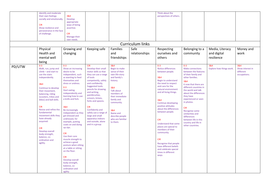|        | Identify and moderate                         |                                        |                                             |                                 |                  | Think about the                          |                                    |                          |                               |
|--------|-----------------------------------------------|----------------------------------------|---------------------------------------------|---------------------------------|------------------|------------------------------------------|------------------------------------|--------------------------|-------------------------------|
|        | their own feelings                            | 3&4                                    |                                             |                                 |                  | perspectives of others.                  |                                    |                          |                               |
|        | socially and emotionally.                     | Develop                                |                                             |                                 |                  |                                          |                                    |                          |                               |
|        |                                               | appropriate                            |                                             |                                 |                  |                                          |                                    |                          |                               |
|        | <b>CIR</b><br>Show resilience and             | ways of being                          |                                             |                                 |                  |                                          |                                    |                          |                               |
|        | perseverance in the face                      | assertive.                             |                                             |                                 |                  |                                          |                                    |                          |                               |
|        | of challenge.                                 | <b>CIR</b>                             |                                             |                                 |                  |                                          |                                    |                          |                               |
|        |                                               | Manage their                           |                                             |                                 |                  |                                          |                                    |                          |                               |
|        |                                               | own needs.                             |                                             |                                 |                  |                                          |                                    |                          |                               |
|        |                                               |                                        |                                             |                                 | Curriculum links |                                          |                                    |                          |                               |
|        | Physical                                      | Growing and                            | Keeping safe                                | Families                        | Safe             | Respecting                               | Belonging to a                     | Media, Literacy          | Money and                     |
|        | Health and                                    | changing                               |                                             | and                             | relationships    | ourselves and                            | community                          | and digital              | work                          |
|        | mental well                                   |                                        |                                             | friendships                     |                  | others                                   |                                    | resilience               |                               |
|        |                                               |                                        |                                             |                                 |                  |                                          |                                    |                          |                               |
|        | being                                         |                                        |                                             |                                 |                  |                                          |                                    |                          |                               |
| PD/UTW | $0 - 3$                                       | $0 - 3$                                | <b>CIR</b>                                  | 3&4                             |                  | $0 - 3$<br>Notice differences            | $0 - 3$<br><b>Make connections</b> | 3&4                      | 3&4                           |
|        | Walk, run, jump and<br>$climb - and start to$ | Show an increasing<br>desire to be     | Develop their small<br>motor skills so that | Begin to make<br>sense of their |                  | between people.                          | between the features               | Explore how things work. | Show interest in<br>different |
|        | use the stairs                                | independent, such                      | they can use a range                        | own life-story                  |                  |                                          | of their family and                |                          | occupations.                  |
|        | independently.                                | as wanting to feed                     | of tools                                    | and family's                    |                  | 3&4                                      | other families.                    |                          |                               |
|        |                                               | themselves and                         | competently, safely                         | history.                        |                  | Begin to understand                      | 3&4                                |                          |                               |
|        | 3&4                                           | dress or undress.                      | and confidently.                            |                                 |                  | the need to respect                      | K now that there are               |                          |                               |
|        | Continue to develop                           | $0 - 3$                                | <b>Suggested tools:</b>                     | 3&4                             |                  | and care for the                         | different countries in             |                          |                               |
|        | their movement,                               | <b>Start eating</b>                    | pencils for drawing                         | <b>Talk about</b>               |                  | natural environment                      | the world and talk                 |                          |                               |
|        | balancing, riding                             | independently and                      | and writing,<br>paintbrushes,               | members of                      |                  | and all living things.                   | about the differences              |                          |                               |
|        | (scooters, trikes and                         | learning how to use                    | scissors, knives,                           | their immediate                 |                  |                                          | they have                          |                          |                               |
|        | bikes) and ball skills.                       | a knife and fork.                      | forks and spoons.                           | family and                      |                  | 3&4                                      | experienced or seen                |                          |                               |
|        |                                               |                                        |                                             | community.                      |                  | Continue developing                      | in photos.                         |                          |                               |
|        | <b>CIR</b>                                    | 3&4                                    | <b>CIR</b>                                  |                                 |                  | positive attitudes                       | <b>CIR</b>                         |                          |                               |
|        | Revise and refine the                         | Be increasingly                        | Confidently and                             | 3&4                             |                  | about the differences<br>between people. | Recognise some                     |                          |                               |
|        | fundamental                                   | independent as they                    | safely use a range of                       | Name and                        |                  |                                          | similarities and                   |                          |                               |
|        | movement skills they<br>have already          | get dressed and                        | large and small<br>apparatus indoors        | describe people                 |                  |                                          | differences                        |                          |                               |
|        | acquired:                                     | undressed, for<br>example, putting     | and outside, alone                          | who are familiar<br>to them.    |                  | <b>CIR</b>                               | between life in this               |                          |                               |
|        |                                               | coats on and doing                     | and in a group.                             |                                 |                  | <b>Understand that some</b>              | country and life in                |                          |                               |
|        | <b>CIR</b>                                    | up zips.                               |                                             |                                 |                  | places are special to                    | other countries.                   |                          |                               |
|        | Develop overall                               |                                        |                                             |                                 |                  | members of their                         |                                    |                          |                               |
|        | body-strength,                                | <b>CIR</b>                             |                                             |                                 |                  | community.                               |                                    |                          |                               |
|        | balance, co-                                  | Use their core                         |                                             |                                 |                  |                                          |                                    |                          |                               |
|        | ordination and                                | muscle strength to                     |                                             |                                 |                  | <b>CIR</b>                               |                                    |                          |                               |
|        | agility.                                      | achieve a good<br>posture when sitting |                                             |                                 |                  | Recognise that people                    |                                    |                          |                               |
|        |                                               | at a table or sitting                  |                                             |                                 |                  | have different beliefs                   |                                    |                          |                               |
|        |                                               | on the floor.                          |                                             |                                 |                  | and celebrate special                    |                                    |                          |                               |
|        |                                               |                                        |                                             |                                 |                  | times in different<br>ways.              |                                    |                          |                               |
|        |                                               | <b>CIR</b>                             |                                             |                                 |                  |                                          |                                    |                          |                               |
|        |                                               | Develop overall                        |                                             |                                 |                  |                                          |                                    |                          |                               |
|        |                                               | body-strength,                         |                                             |                                 |                  |                                          |                                    |                          |                               |
|        |                                               | balance, co-                           |                                             |                                 |                  |                                          |                                    |                          |                               |
|        |                                               | ordination and                         |                                             |                                 |                  |                                          |                                    |                          |                               |
|        |                                               | agility                                |                                             |                                 |                  |                                          |                                    |                          |                               |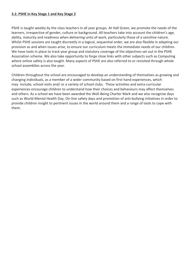## **3.2. PSHE in Key Stage 1 and Key Stage 2**

PSHE is taught weekly by the class teachers in all year groups. At Hall Green, we promote the needs of the learners, irrespective of gender, culture or background. All teachers take into account the children's age, ability, maturity and readiness when delivering units of work, particularly those of a sensitive nature. Whilst PSHE sessions are taught discreetly in a logical, sequential order, we are also flexible in adapting our provision as and when issues arise, to ensure our curriculum meets the immediate needs of our children. We have tools in place to track year group and statutory coverage of the objectives set out in the PSHE Association scheme. We also take opportunity to forge close links with other subjects such as Computing where online safety is also taught. Many aspects of PSHE are also referred to or revisited through whole school assemblies across the year.

Children throughout the school are encouraged to develop an understanding of themselves as growing and changing individuals, as a member of a wider community based on first hand experiences, which may include, school visits and/ or a variety of school clubs. These activities and extra-curricular experiences encourage children to understand how their choices and behaviours may affect themselves and others. As a school we have been awarded the Well-Being Charter Mark and we also recognise days such as World Mental Health Day, On-line safety days and promotion of anti-bullying initiatives in order to provide children insight to pertinent issues in the world around them and a range of tools to cope with them.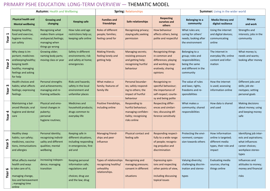## PRIMARY PSHE EDUCATION: LONG-TERM OVERVIEW — THEMATIC MODEL

|           | <b>Autumn: Health and Wellbeing</b>                                                                                                     |                                                                                                      |                                                                                                      |                                                                               | <b>Spring: Relationships</b>                                                                      |                                                                                                                           | <b>Summer:</b> Living in the wider world                                                                       |                                                                                              |                                                                                                                     |
|-----------|-----------------------------------------------------------------------------------------------------------------------------------------|------------------------------------------------------------------------------------------------------|------------------------------------------------------------------------------------------------------|-------------------------------------------------------------------------------|---------------------------------------------------------------------------------------------------|---------------------------------------------------------------------------------------------------------------------------|----------------------------------------------------------------------------------------------------------------|----------------------------------------------------------------------------------------------|---------------------------------------------------------------------------------------------------------------------|
|           | <b>Physical health and</b><br><b>Mental wellbeing</b>                                                                                   | <b>Growing and</b><br>changing                                                                       | <b>Keeping safe</b>                                                                                  | <b>Families and</b><br>friendships                                            | Safe relationships                                                                                | <b>Respecting</b><br>ourselves and<br>others                                                                              | <b>Belonging to a</b><br>community                                                                             | Media literacy and<br>digital resilience                                                     | <b>Money</b><br>and work                                                                                            |
| ⊣<br>Year | Keeping healthy;<br>food and exercise,<br>hygiene routines;<br>sun safety                                                               | Recognising what<br>makes them unique<br>andspecial; feelings;<br>managing when<br>things go wrong   | How rules and age<br>restrictions help us;<br>keeping safe online                                    | Roles of different<br>people; families;<br>feeling cared for                  | Recognising privacy;<br>staying safe; seeking<br>permission                                       | How behaviour<br>affects others; being<br>polite and respectful                                                           | What rules are;<br>caring for others'<br>needs; looking after<br>the environment                               | Using the internet<br>and digital devices;<br>communicating<br>online                        | Strengths and<br>interests; jobs in the<br>community                                                                |
| N<br>Year | Why sleep is im-<br>portant; medicines<br>and keeping healthy;<br>keeping teeth<br>healthy; managing<br>feelings and asking<br>for help | Growing older;<br>naming body parts;<br>moving class or year                                         | Safety in different<br>environments; risk<br>and safety at home;<br>emergencies                      | Making friends;<br>feeling lonely and<br>getting help                         | Managing secrets;<br>resisting pressure<br>and getting help;<br>recognising hurtful<br>behaviour  | <b>Recognising things</b><br>in common and<br>differences; playing<br>and working coop-<br>eratively; sharing<br>opinions | Belonging to a<br>group; roles and<br>responsibilities;<br>being the same<br>and different in the<br>community | The internet in<br>everyday life; online<br>content and infor-<br>mation                     | What money is;<br>needs and wants;<br>looking after money                                                           |
| w<br>Year | Health choices and<br>habits; what affects<br>feelings; expressing<br>feelings                                                          | Personal strengths<br>and achievements;<br>managing and re-<br>framing setbacks                      | Risks and hazards;<br>safety in the local<br>environment and<br>unfamiliar places                    | What makes a<br>family; features of<br>family life                            | Personal boundar-<br>ies; safely respond-<br>ing to others; the<br>impact of hurtful<br>behaviour | Recognising re-<br>spectful behaviour;<br>the importance of<br>self-respect; courte-<br>sy and being polite               | The value of rules<br>and laws; rights,<br>freedoms and re-<br>sponsibilities                                  | How the internet<br>is used; assessing<br>information online                                 | Different jobs and<br>skills; job ste-<br>reotypes; setting<br>personal goals                                       |
| Year 4    | Maintaining a bal-<br>anced lifestyle; oral<br>hygiene and dental<br>care                                                               | Physical and emo-<br>tional changes in<br>puberty;<br>personal<br>hygiene routines;                  | <b>Medicines and</b><br>household products;<br>drugs common to<br>everyday life                      | Positive friendships,<br>including online                                     | Responding to<br>hurtful behaviour;<br>managing confiden-<br>tiality; recognising<br>risks online | Respecting differ-<br>ences and similari-<br>ties; discussing dif-<br>ference sensitively                                 | What makes a<br>community; shared<br>responsibilities                                                          | How data is shared<br>and used                                                               | Making decisions<br>about money; using<br>and keeping money<br>safe                                                 |
| Year 5    | <b>Healthy sleep</b><br>habits; sun safety;<br>medicines, vaccina-<br>tions, immunisations<br>and allergies                             | Personal identity;<br>recognising individ-<br>uality and different<br>qualities; mental<br>wellbeing | Keeping safe in<br>different situations,<br>including responding<br>in emergencies, first<br>aid and | Managing friend-<br>ships and peer<br>influence                               | Physical contact and<br>feeling safe                                                              | Responding respect-<br>fully to a wide range<br>of people; recognis-<br>ing prejudice and<br>discrimination               | Protecting the envi-<br>ronment; compas-<br>sion towards others                                                | How information<br>online is targeted;<br>different media<br>types, their role and<br>impact | Identifying job inter-<br>ests and aspirations;<br>what influences<br>career choices;<br>workplace stereo-<br>types |
| Year 6    | What affects mental<br>health and ways<br>to take care of it;<br>managing change,<br>loss and bereavement<br>; managing time<br>online  | increasing indepen-<br>dence; managing<br>transition                                                 | Keeping personal<br>information safe;<br>regulations and<br>choices; drug use<br>and the law; drug   | Types of relationships<br>recognising healthy/<br>unhealthy<br>relationships. | Recognising and<br>managing pressure;<br>consent in different<br>situations                       | <b>Expressing opin-</b><br>ions and respecting<br>other points of view,<br>including discussing<br>topical issues         | Valuing diversity;<br>challenging discrim-<br>ination and stereo-<br>types                                     | <b>Evaluating media</b><br>sources; sharing<br>things online                                 | Influences and<br>attitudes to money;<br>money and financial<br>risks                                               |